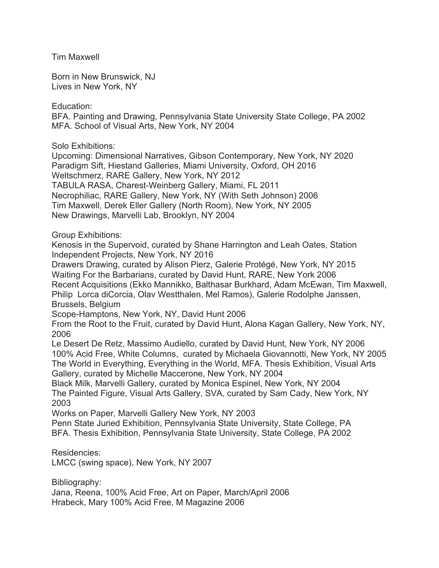Tim Maxwell

Born in New Brunswick, NJ Lives in New York, NY

Education:

BFA. Painting and Drawing, Pennsylvania State University State College, PA 2002 MFA. School of Visual Arts, New York, NY 2004

Solo Exhibitions:

Upcoming: Dimensional Narratives, Gibson Contemporary, New York, NY 2020 Paradigm Sift, Hiestand Galleries, Miami University, Oxford, OH 2016 Weltschmerz, RARE Gallery, New York, NY 2012 TABULA RASA, Charest-Weinberg Gallery, Miami, FL 2011 Necrophiliac, RARE Gallery, New York, NY (With Seth Johnson) 2006 Tim Maxwell, Derek Eller Gallery (North Room), New York, NY 2005 New Drawings, Marvelli Lab, Brooklyn, NY 2004

Group Exhibitions:

Kenosis in the Supervoid, curated by Shane Harrington and Leah Oates, Station Independent Projects, New York, NY 2016

Drawers Drawing, curated by Alison Pierz, Galerie Protégé, New York, NY 2015 Waiting For the Barbarians, curated by David Hunt, RARE, New York 2006 Recent Acquisitions (Ekko Mannikko, Balthasar Burkhard, Adam McEwan, Tim Maxwell, Philip Lorca diCorcia, Olav Westthalen, Mel Ramos), Galerie Rodolphe Janssen, Brussels, Belgium

Scope-Hamptons, New York, NY, David Hunt 2006

From the Root to the Fruit, curated by David Hunt, Alona Kagan Gallery, New York, NY, 2006

Le Desert De Retz, Massimo Audiello, curated by David Hunt, New York, NY 2006 100% Acid Free, White Columns, curated by Michaela Giovannotti, New York, NY 2005 The World in Everything, Everything in the World, MFA. Thesis Exhibition, Visual Arts Gallery, curated by Michelle Maccerone, New York, NY 2004

Black Milk, Marvelli Gallery, curated by Monica Espinel, New York, NY 2004 The Painted Figure, Visual Arts Gallery, SVA, curated by Sam Cady, New York, NY 2003

Works on Paper, Marvelli Gallery New York, NY 2003

Penn State Juried Exhibition, Pennsylvania State University, State College, PA BFA. Thesis Exhibition, Pennsylvania State University, State College, PA 2002

Residencies:

LMCC (swing space), New York, NY 2007

Bibliography:

Jana, Reena, 100% Acid Free, Art on Paper, March/April 2006 Hrabeck, Mary 100% Acid Free, M Magazine 2006